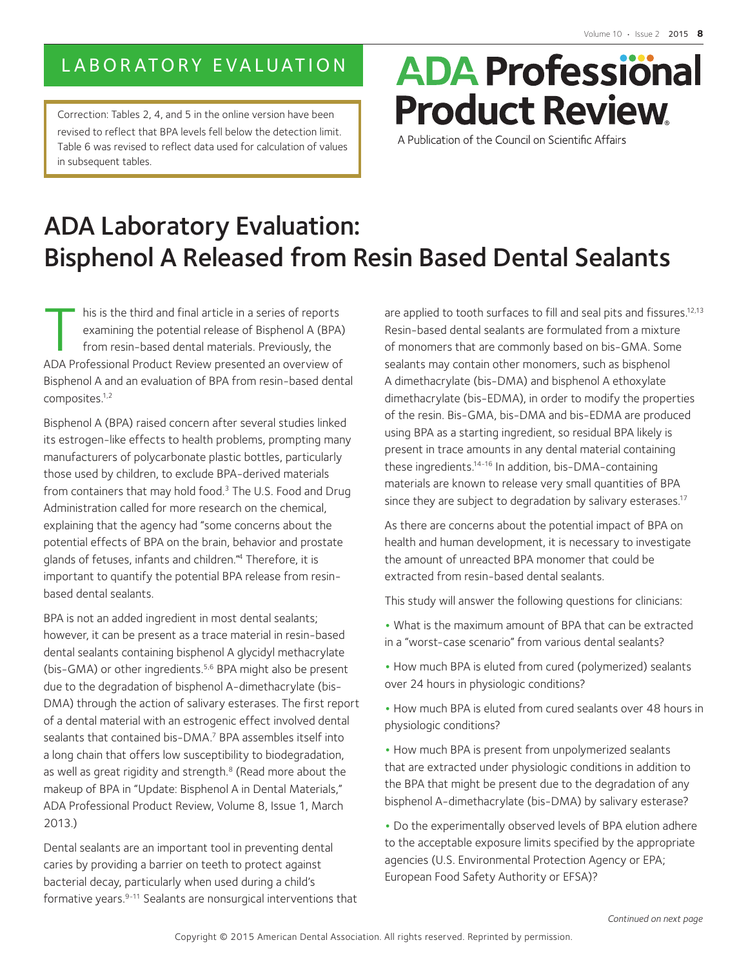## LABORATORY EVALUATION

Correction: Tables 2, 4, and 5 in the online version have been revised to reflect that BPA levels fell below the detection limit. Table 6 was revised to reflect data used for calculation of values in subsequent tables.

# **ADA Professional Product Review**

A Publication of the Council on Scientific Affairs

## ADA Laboratory Evaluation: Bisphenol A Released from Resin Based Dental Sealants

his is the third and final article in a series of reports<br>examining the potential release of Bisphenol A (BPA<br>from resin-based dental materials. Previously, the<br>ADA Professional Product Review presented an overview of examining the potential release of Bisphenol A (BPA) from resin-based dental materials. Previously, the ADA Professional Product Review presented an overview of Bisphenol A and an evaluation of BPA from resin-based dental composites.1,2

Bisphenol A (BPA) raised concern after several studies linked its estrogen-like effects to health problems, prompting many manufacturers of polycarbonate plastic bottles, particularly those used by children, to exclude BPA-derived materials from containers that may hold food.3 The U.S. Food and Drug Administration called for more research on the chemical, explaining that the agency had "some concerns about the potential effects of BPA on the brain, behavior and prostate glands of fetuses, infants and children."4 Therefore, it is important to quantify the potential BPA release from resinbased dental sealants.

BPA is not an added ingredient in most dental sealants; however, it can be present as a trace material in resin-based dental sealants containing bisphenol A glycidyl methacrylate (bis-GMA) or other ingredients.<sup>5,6</sup> BPA might also be present due to the degradation of bisphenol A-dimethacrylate (bis-DMA) through the action of salivary esterases. The first report of a dental material with an estrogenic effect involved dental sealants that contained bis-DMA.<sup>7</sup> BPA assembles itself into a long chain that offers low susceptibility to biodegradation, as well as great rigidity and strength.<sup>8</sup> (Read more about the makeup of BPA in "Update: Bisphenol A in Dental Materials," ADA Professional Product Review, Volume 8, Issue 1, March 2013.)

Dental sealants are an important tool in preventing dental caries by providing a barrier on teeth to protect against bacterial decay, particularly when used during a child's formative years.9-11 Sealants are nonsurgical interventions that are applied to tooth surfaces to fill and seal pits and fissures.<sup>12,13</sup> Resin-based dental sealants are formulated from a mixture of monomers that are commonly based on bis-GMA. Some sealants may contain other monomers, such as bisphenol A dimethacrylate (bis-DMA) and bisphenol A ethoxylate dimethacrylate (bis-EDMA), in order to modify the properties of the resin. Bis-GMA, bis-DMA and bis-EDMA are produced using BPA as a starting ingredient, so residual BPA likely is present in trace amounts in any dental material containing these ingredients.14-16 In addition, bis-DMA-containing materials are known to release very small quantities of BPA since they are subject to degradation by salivary esterases.<sup>17</sup>

As there are concerns about the potential impact of BPA on health and human development, it is necessary to investigate the amount of unreacted BPA monomer that could be extracted from resin-based dental sealants.

This study will answer the following questions for clinicians:

- **•** What is the maximum amount of BPA that can be extracted in a "worst-case scenario" from various dental sealants?
- **•** How much BPA is eluted from cured (polymerized) sealants over 24 hours in physiologic conditions?
- **•** How much BPA is eluted from cured sealants over 48 hours in physiologic conditions?
- **•** How much BPA is present from unpolymerized sealants that are extracted under physiologic conditions in addition to the BPA that might be present due to the degradation of any bisphenol A-dimethacrylate (bis-DMA) by salivary esterase?

**•** Do the experimentally observed levels of BPA elution adhere to the acceptable exposure limits specified by the appropriate agencies (U.S. Environmental Protection Agency or EPA; European Food Safety Authority or EFSA)?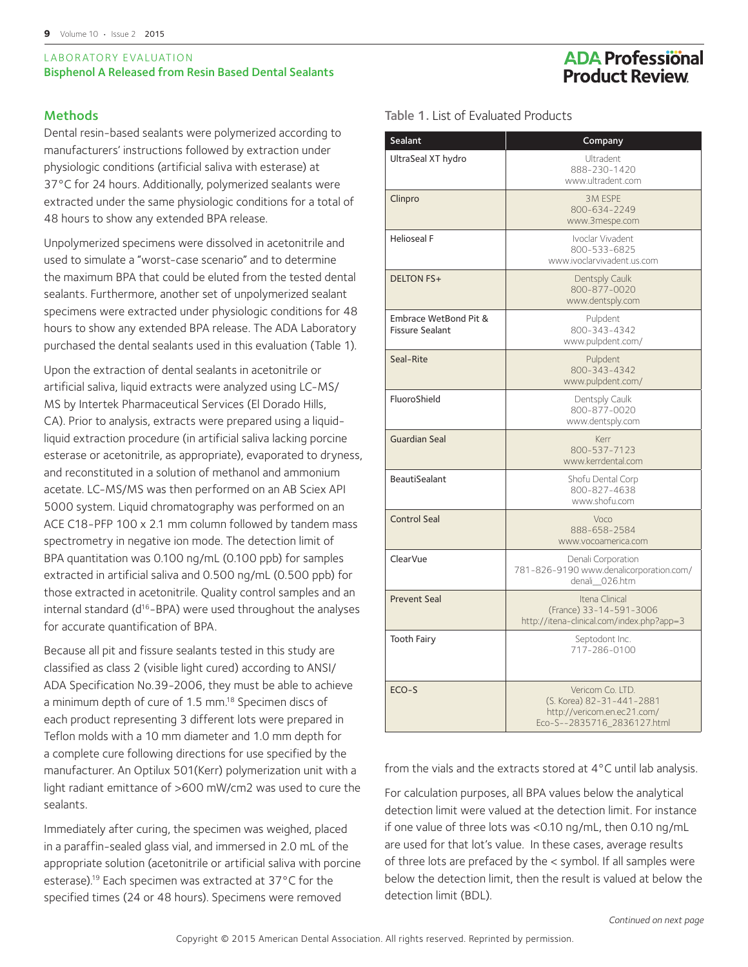#### LABORATORY EVALUATION Bisphenol A Released from Resin Based Dental Sealants

#### Methods

Dental resin-based sealants were polymerized according to manufacturers' instructions followed by extraction under physiologic conditions (artificial saliva with esterase) at 37°C for 24 hours. Additionally, polymerized sealants were extracted under the same physiologic conditions for a total of 48 hours to show any extended BPA release.

Unpolymerized specimens were dissolved in acetonitrile and used to simulate a "worst-case scenario" and to determine the maximum BPA that could be eluted from the tested dental sealants. Furthermore, another set of unpolymerized sealant specimens were extracted under physiologic conditions for 48 hours to show any extended BPA release. The ADA Laboratory purchased the dental sealants used in this evaluation (Table 1).

Upon the extraction of dental sealants in acetonitrile or artificial saliva, liquid extracts were analyzed using LC-MS/ MS by Intertek Pharmaceutical Services (El Dorado Hills, CA). Prior to analysis, extracts were prepared using a liquidliquid extraction procedure (in artificial saliva lacking porcine esterase or acetonitrile, as appropriate), evaporated to dryness, and reconstituted in a solution of methanol and ammonium acetate. LC-MS/MS was then performed on an AB Sciex API 5000 system. Liquid chromatography was performed on an ACE C18-PFP 100 x 2.1 mm column followed by tandem mass spectrometry in negative ion mode. The detection limit of BPA quantitation was 0.100 ng/mL (0.100 ppb) for samples extracted in artificial saliva and 0.500 ng/mL (0.500 ppb) for those extracted in acetonitrile. Quality control samples and an internal standard (d<sup>16</sup>-BPA) were used throughout the analyses for accurate quantification of BPA.

Because all pit and fissure sealants tested in this study are classified as class 2 (visible light cured) according to ANSI/ ADA Specification No.39-2006, they must be able to achieve a minimum depth of cure of 1.5 mm.18 Specimen discs of each product representing 3 different lots were prepared in Teflon molds with a 10 mm diameter and 1.0 mm depth for a complete cure following directions for use specified by the manufacturer. An Optilux 501(Kerr) polymerization unit with a light radiant emittance of >600 mW/cm2 was used to cure the sealants.

Immediately after curing, the specimen was weighed, placed in a paraffin-sealed glass vial, and immersed in 2.0 mL of the appropriate solution (acetonitrile or artificial saliva with porcine esterase).19 Each specimen was extracted at 37°C for the specified times (24 or 48 hours). Specimens were removed

## **ADA Professional Product Review**

Table 1. List of Evaluated Products

| Sealant                                         | Company                                                                                                     |
|-------------------------------------------------|-------------------------------------------------------------------------------------------------------------|
| UltraSeal XT hydro                              | Ultradent<br>888-230-1420<br>www.ultradent.com                                                              |
| Clinpro                                         | <b>3M ESPE</b><br>800-634-2249<br>www.3mespe.com                                                            |
| <b>Helioseal F</b>                              | Ivoclar Vivadent<br>800-533-6825<br>www.ivoclarvivadent.us.com                                              |
| <b>DELTON FS+</b>                               | Dentsply Caulk<br>800-877-0020<br>www.dentsply.com                                                          |
| Embrace WetBond Pit &<br><b>Fissure Sealant</b> | Pulpdent<br>800-343-4342<br>www.pulpdent.com/                                                               |
| Seal-Rite                                       | Pulpdent<br>800-343-4342<br>www.pulpdent.com/                                                               |
| FluoroShield                                    | Dentsply Caulk<br>800-877-0020<br>www.dentsply.com                                                          |
| <b>Guardian Seal</b>                            | Kerr<br>800-537-7123<br>www.kerrdental.com                                                                  |
| <b>BeautiSealant</b>                            | Shofu Dental Corp<br>800-827-4638<br>www.shofu.com                                                          |
| <b>Control Seal</b>                             | Voco<br>888-658-2584<br>www.vocoamerica.com                                                                 |
| ClearVue                                        | Denali Corporation<br>781-826-9190 www.denalicorporation.com/<br>denali 026.htm                             |
| <b>Prevent Seal</b>                             | Itena Clinical<br>(France) 33-14-591-3006<br>http://itena-clinical.com/index.php?app=3                      |
| <b>Tooth Fairy</b>                              | Septodont Inc.<br>717-286-0100                                                                              |
| ECO-S                                           | Vericom Co. LTD.<br>(S. Korea) 82-31-441-2881<br>http://vericom.en.ec21.com/<br>Eco-S--2835716_2836127.html |

from the vials and the extracts stored at 4°C until lab analysis.

For calculation purposes, all BPA values below the analytical detection limit were valued at the detection limit. For instance if one value of three lots was <0.10 ng/mL, then 0.10 ng/mL are used for that lot's value. In these cases, average results of three lots are prefaced by the < symbol. If all samples were below the detection limit, then the result is valued at below the detection limit (BDL).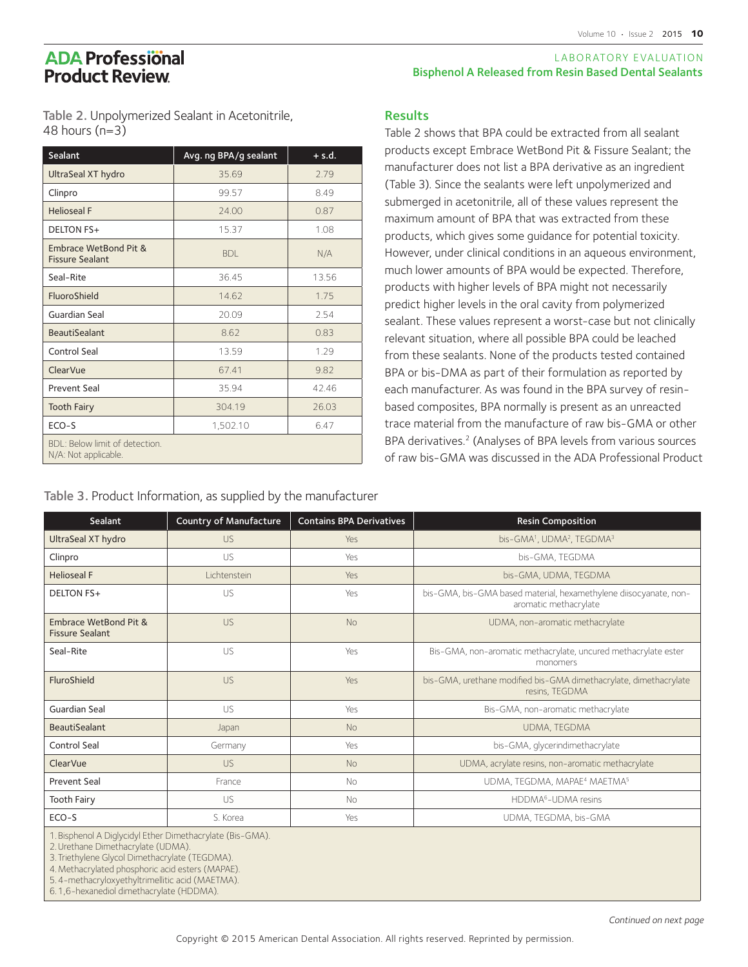#### LABORATORY EVALUATION Bisphenol A Released from Resin Based Dental Sealants

Table 2 shows that BPA could be extracted from all sealant products except Embrace WetBond Pit & Fissure Sealant; the manufacturer does not list a BPA derivative as an ingredient (Table 3). Since the sealants were left unpolymerized and submerged in acetonitrile, all of these values represent the maximum amount of BPA that was extracted from these products, which gives some guidance for potential toxicity. However, under clinical conditions in an aqueous environment, much lower amounts of BPA would be expected. Therefore, products with higher levels of BPA might not necessarily predict higher levels in the oral cavity from polymerized sealant. These values represent a worst-case but not clinically relevant situation, where all possible BPA could be leached from these sealants. None of the products tested contained BPA or bis-DMA as part of their formulation as reported by each manufacturer. As was found in the BPA survey of resinbased composites, BPA normally is present as an unreacted trace material from the manufacture of raw bis-GMA or other BPA derivatives.<sup>2</sup> (Analyses of BPA levels from various sources of raw bis-GMA was discussed in the ADA Professional Product

Table 2. Unpolymerized Sealant in Acetonitrile, 48 hours (n=3)

| Sealant                                                       | Avg. ng BPA/g sealant | $+ s.d.$ |
|---------------------------------------------------------------|-----------------------|----------|
| UltraSeal XT hydro                                            | 35.69                 | 2.79     |
| Clinpro                                                       | 99.57                 | 8.49     |
| <b>Helioseal F</b>                                            | 24.00                 | 0.87     |
| <b>DELTON FS+</b>                                             | 15.37                 | 1.08     |
| Embrace WetBond Pit &<br><b>Fissure Sealant</b>               | <b>BDL</b>            | N/A      |
| Seal-Rite                                                     | 36.45                 | 13.56    |
| FluoroShield                                                  | 14.62                 | 1.75     |
| Guardian Seal                                                 | 20.09                 | 2.54     |
| <b>BeautiSealant</b>                                          | 8.62                  | 0.83     |
| Control Seal                                                  | 13.59                 | 1.29     |
| ClearVue                                                      | 67.41                 | 9.82     |
| <b>Prevent Seal</b>                                           | 35.94                 | 42.46    |
| <b>Tooth Fairy</b>                                            | 304.19                | 26.03    |
| ECO-S                                                         | 1,502.10              | 6.47     |
| <b>BDI: Below limit of detection.</b><br>N/A: Not applicable. |                       |          |

Table 3. Product Information, as supplied by the manufacturer

| Sealant                                         | <b>Country of Manufacture</b> | <b>Contains BPA Derivatives</b> | <b>Resin Composition</b>                                                                   |
|-------------------------------------------------|-------------------------------|---------------------------------|--------------------------------------------------------------------------------------------|
| UltraSeal XT hydro                              | US.                           | Yes                             | bis-GMA <sup>1</sup> , UDMA <sup>2</sup> , TEGDMA <sup>3</sup>                             |
| Clinpro                                         | <b>US</b>                     | Yes                             | bis-GMA, TEGDMA                                                                            |
| <b>Helioseal F</b>                              | Lichtenstein                  | Yes                             | bis-GMA, UDMA, TEGDMA                                                                      |
| <b>DELTON FS+</b>                               | US                            | Yes                             | bis-GMA, bis-GMA based material, hexamethylene diisocyanate, non-<br>aromatic methacrylate |
| Embrace WetBond Pit &<br><b>Fissure Sealant</b> | US.                           | <b>No</b>                       | UDMA, non-aromatic methacrylate                                                            |
| Seal-Rite                                       | US                            | Yes                             | Bis-GMA, non-aromatic methacrylate, uncured methacrylate ester<br>monomers                 |
| FluroShield                                     | US                            | Yes                             | bis-GMA, urethane modified bis-GMA dimethacrylate, dimethacrylate<br>resins, TEGDMA        |
| <b>Guardian Seal</b>                            | US.                           | Yes                             | Bis-GMA, non-aromatic methacrylate                                                         |
| <b>BeautiSealant</b>                            | Japan                         | <b>No</b>                       | UDMA, TEGDMA                                                                               |
| <b>Control Seal</b>                             | Germany                       | Yes                             | bis-GMA, glycerindimethacrylate                                                            |
| ClearVue                                        | US                            | <b>No</b>                       | UDMA, acrylate resins, non-aromatic methacrylate                                           |
| <b>Prevent Seal</b>                             | France                        | No                              | UDMA, TEGDMA, MAPAE <sup>4</sup> MAETMA <sup>5</sup>                                       |
| <b>Tooth Fairy</b>                              | US                            | <b>No</b>                       | HDDMA <sup>6</sup> -UDMA resins                                                            |
| ECO-S                                           | S. Korea                      | Yes                             | UDMA, TEGDMA, bis-GMA                                                                      |
|                                                 |                               |                                 |                                                                                            |

**Results** 

1.Bisphenol A Diglycidyl Ether Dimethacrylate (Bis-GMA).

2.Urethane Dimethacrylate (UDMA).

3.Triethylene Glycol Dimethacrylate (TEGDMA).

4.Methacrylated phosphoric acid esters (MAPAE).

5.4-methacryloxyethyltrimellitic acid (MAETMA).

6.1,6-hexanediol dimethacrylate (HDDMA).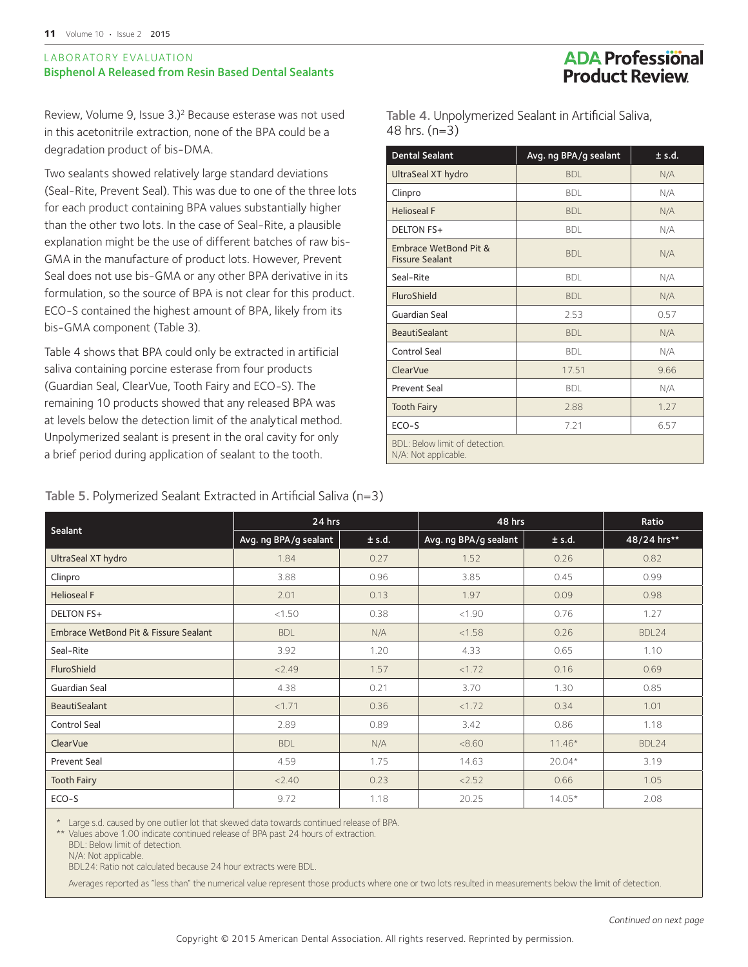#### LABORATORY EVALUATION Bisphenol A Released from Resin Based Dental Sealants

### **ADA Professional Product Review**

Review, Volume 9, Issue 3.)<sup>2</sup> Because esterase was not used in this acetonitrile extraction, none of the BPA could be a degradation product of bis-DMA.

Two sealants showed relatively large standard deviations (Seal-Rite, Prevent Seal). This was due to one of the three lots for each product containing BPA values substantially higher than the other two lots. In the case of Seal-Rite, a plausible explanation might be the use of different batches of raw bis-GMA in the manufacture of product lots. However, Prevent Seal does not use bis-GMA or any other BPA derivative in its formulation, so the source of BPA is not clear for this product. ECO-S contained the highest amount of BPA, likely from its bis-GMA component (Table 3).

Table 4 shows that BPA could only be extracted in artificial saliva containing porcine esterase from four products (Guardian Seal, ClearVue, Tooth Fairy and ECO-S). The remaining 10 products showed that any released BPA was at levels below the detection limit of the analytical method. Unpolymerized sealant is present in the oral cavity for only a brief period during application of sealant to the tooth.

Table 4. Unpolymerized Sealant in Artificial Saliva, 48 hrs. (n=3)

| <b>Dental Sealant</b>                                  | Avg. ng BPA/g sealant | ± s.d. |
|--------------------------------------------------------|-----------------------|--------|
| UltraSeal XT hydro                                     | <b>BDI</b>            | N/A    |
| Clinpro                                                | <b>BDI</b>            | N/A    |
| <b>Helioseal F</b>                                     | <b>BDI</b>            | N/A    |
| <b>DELTON FS+</b>                                      | <b>BDL</b>            | N/A    |
| Embrace WetBond Pit &<br><b>Fissure Sealant</b>        | <b>BDI</b>            | N/A    |
| Seal-Rite                                              | <b>BDL</b>            | N/A    |
| FluroShield                                            | <b>BDL</b>            | N/A    |
| Guardian Seal                                          | 2.53                  | 0.57   |
| <b>BeautiSealant</b>                                   | <b>BDI</b>            | N/A    |
| Control Seal                                           | <b>BDI</b>            | N/A    |
| ClearVue                                               | 17.51                 | 9.66   |
| <b>Prevent Seal</b>                                    | <b>BDI</b>            | N/A    |
| <b>Tooth Fairy</b>                                     | 2.88                  | 1.27   |
| $ECO-S$                                                | 7.21                  | 6.57   |
| BDI: Below limit of detection.<br>N/A: Not applicable. |                       |        |

#### Table 5. Polymerized Sealant Extracted in Artificial Saliva (n=3)

|                                       | 24 hrs                |        | 48 hrs                | Ratio    |             |
|---------------------------------------|-----------------------|--------|-----------------------|----------|-------------|
| Sealant                               | Avg. ng BPA/g sealant | ± s.d. | Avg. ng BPA/g sealant | ± s.d.   | 48/24 hrs** |
| UltraSeal XT hydro                    | 1.84                  | 0.27   | 1.52                  | 0.26     | 0.82        |
| Clinpro                               | 3.88                  | 0.96   | 3.85                  | 0.45     | 0.99        |
| <b>Helioseal F</b>                    | 2.01                  | 0.13   | 1.97                  | 0.09     | 0.98        |
| <b>DELTON FS+</b>                     | < 1.50                | 0.38   | < 1.90                | 0.76     | 1.27        |
| Embrace WetBond Pit & Fissure Sealant | <b>BDL</b>            | N/A    | < 1.58                | 0.26     | BDL24       |
| Seal-Rite                             | 3.92                  | 1.20   | 4.33                  | 0.65     | 1.10        |
| FluroShield                           | < 2.49                | 1.57   | <1.72                 | 0.16     | 0.69        |
| Guardian Seal                         | 4.38                  | 0.21   | 3.70                  | 1.30     | 0.85        |
| <b>BeautiSealant</b>                  | <1.71                 | 0.36   | <1.72                 | 0.34     | 1.01        |
| <b>Control Seal</b>                   | 2.89                  | 0.89   | 3.42                  | 0.86     | 1.18        |
| <b>ClearVue</b>                       | <b>BDL</b>            | N/A    | < 8.60                | $11.46*$ | BDL24       |
| <b>Prevent Seal</b>                   | 4.59                  | 1.75   | 14.63                 | $20.04*$ | 3.19        |
| <b>Tooth Fairy</b>                    | < 2.40                | 0.23   | < 2.52                | 0.66     | 1.05        |
| ECO-S                                 | 9.72                  | 1.18   | 20.25                 | $14.05*$ | 2.08        |

\* Large s.d. caused by one outlier lot that skewed data towards continued release of BPA.

\*\* Values above 1.00 indicate continued release of BPA past 24 hours of extraction.

BDL24: Ratio not calculated because 24 hour extracts were BDL.

Averages reported as "less than" the numerical value represent those products where one or two lots resulted in measurements below the limit of detection.

BDL: Below limit of detection.

N/A: Not applicable.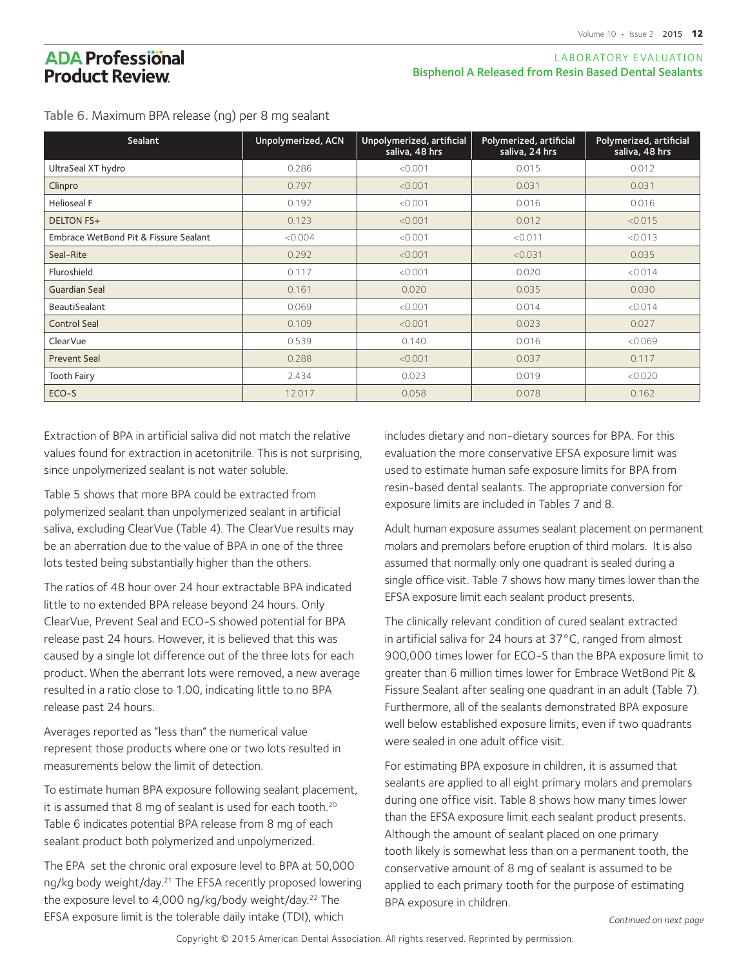#### LABORATORY EVALUATION Bisphenol A Released from Resin Based Dental Sealants

Table 6. Maximum BPA release (ng) per 8 mg sealant

| Sealant                               | Unpolymerized, ACN | Unpolymerized, artificial<br>saliva, 48 hrs | Polymerized, artificial<br>saliva, 24 hrs | Polymerized, artificial<br>saliva, 48 hrs |
|---------------------------------------|--------------------|---------------------------------------------|-------------------------------------------|-------------------------------------------|
| UltraSeal XT hydro                    | 0.286              | < 0.001                                     | 0.015                                     | 0.012                                     |
| Clinpro                               | 0.797              | < 0.001                                     | 0.031                                     | 0.031                                     |
| <b>Helioseal F</b>                    | 0.192              | < 0.001                                     | 0.016                                     | 0.016                                     |
| <b>DELTON FS+</b>                     | 0.123              | < 0.001                                     | 0.012                                     | < 0.015                                   |
| Embrace WetBond Pit & Fissure Sealant | < 0.004            | < 0.001                                     | < 0.011                                   | < 0.013                                   |
| Seal-Rite                             | 0.292              | < 0.001                                     | < 0.031                                   | 0.035                                     |
| Fluroshield                           | 0.117              | < 0.001                                     | 0.020                                     | < 0.014                                   |
| Guardian Seal                         | 0.161              | 0.020                                       | 0.035                                     | 0.030                                     |
| <b>BeautiSealant</b>                  | 0.069              | < 0.001                                     | 0.014                                     | < 0.014                                   |
| <b>Control Seal</b>                   | 0.109              | < 0.001                                     | 0.023                                     | 0.027                                     |
| ClearVue                              | 0.539              | 0.140                                       | 0.016                                     | < 0.069                                   |
| <b>Prevent Seal</b>                   | 0.288              | < 0.001                                     | 0.037                                     | 0.117                                     |
| <b>Tooth Fairy</b>                    | 2.434              | 0.023                                       | 0.019                                     | < 0.020                                   |
| ECO-S                                 | 12.017             | 0.058                                       | 0.078                                     | 0.162                                     |

Extraction of BPA in artificial saliva did not match the relative values found for extraction in acetonitrile. This is not surprising, since unpolymerized sealant is not water soluble.

Table 5 shows that more BPA could be extracted from polymerized sealant than unpolymerized sealant in artificial saliva, excluding ClearVue (Table 4). The ClearVue results may be an aberration due to the value of BPA in one of the three lots tested being substantially higher than the others.

The ratios of 48 hour over 24 hour extractable BPA indicated little to no extended BPA release beyond 24 hours. Only ClearVue, Prevent Seal and ECO-S showed potential for BPA release past 24 hours. However, it is believed that this was caused by a single lot difference out of the three lots for each product. When the aberrant lots were removed, a new average resulted in a ratio close to 1.00, indicating little to no BPA release past 24 hours.

Averages reported as "less than" the numerical value represent those products where one or two lots resulted in measurements below the limit of detection.

To estimate human BPA exposure following sealant placement, it is assumed that 8 mg of sealant is used for each tooth.<sup>20</sup> Table 6 indicates potential BPA release from 8 mg of each sealant product both polymerized and unpolymerized.

The EPA set the chronic oral exposure level to BPA at 50,000 ng/kg body weight/day.<sup>21</sup> The EFSA recently proposed lowering the exposure level to 4,000 ng/kg/body weight/day.<sup>22</sup> The EFSA exposure limit is the tolerable daily intake (TDI), which

includes dietary and non-dietary sources for BPA. For this evaluation the more conservative EFSA exposure limit was used to estimate human safe exposure limits for BPA from resin-based dental sealants. The appropriate conversion for exposure limits are included in Tables 7 and 8.

Adult human exposure assumes sealant placement on permanent molars and premolars before eruption of third molars. It is also assumed that normally only one quadrant is sealed during a single office visit. Table 7 shows how many times lower than the EFSA exposure limit each sealant product presents.

The clinically relevant condition of cured sealant extracted in artificial saliva for 24 hours at 37°C, ranged from almost 900,000 times lower for ECO-S than the BPA exposure limit to greater than 6 million times lower for Embrace WetBond Pit & Fissure Sealant after sealing one quadrant in an adult (Table 7). Furthermore, all of the sealants demonstrated BPA exposure well below established exposure limits, even if two quadrants were sealed in one adult office visit.

For estimating BPA exposure in children, it is assumed that sealants are applied to all eight primary molars and premolars during one office visit. Table 8 shows how many times lower than the EFSA exposure limit each sealant product presents. Although the amount of sealant placed on one primary tooth likely is somewhat less than on a permanent tooth, the conservative amount of 8 mg of sealant is assumed to be applied to each primary tooth for the purpose of estimating BPA exposure in children.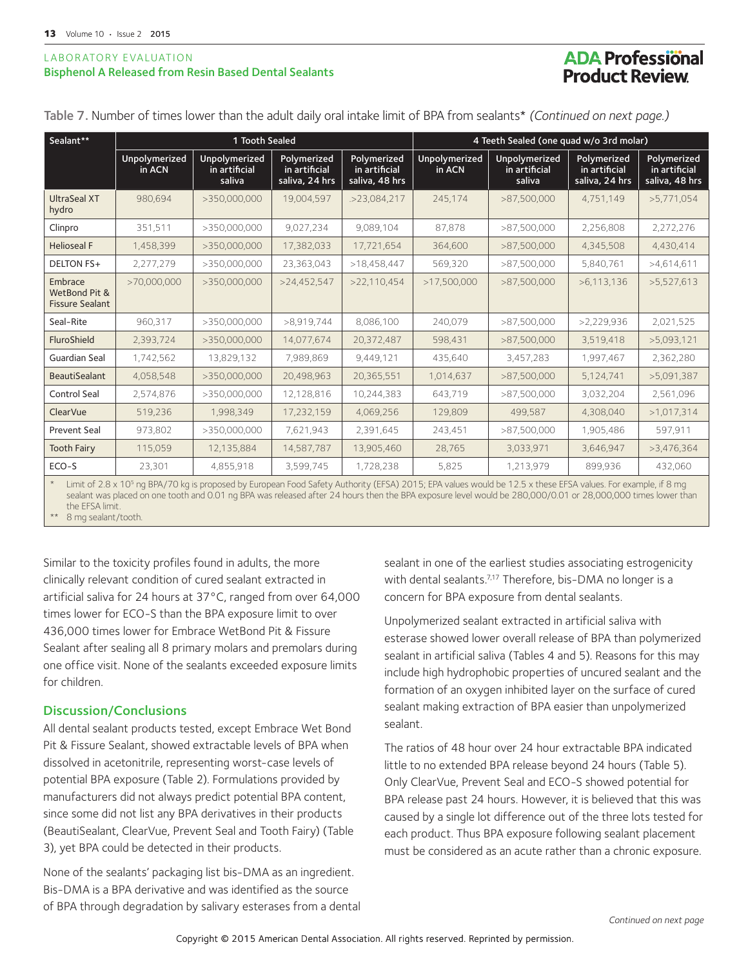#### LABORATORY E VALUATION Bisphenol A Released from Resin Based Dental Sealants

## **ADA Professional Product Review**

| Sealant**                                          | 1 Tooth Sealed          |                                          |                                                | 4 Teeth Sealed (one quad w/o 3rd molar)        |                         |                                          |                                                |                                                |
|----------------------------------------------------|-------------------------|------------------------------------------|------------------------------------------------|------------------------------------------------|-------------------------|------------------------------------------|------------------------------------------------|------------------------------------------------|
|                                                    | Unpolymerized<br>in ACN | Unpolymerized<br>in artificial<br>saliva | Polymerized<br>in artificial<br>saliva, 24 hrs | Polymerized<br>in artificial<br>saliva, 48 hrs | Unpolymerized<br>in ACN | Unpolymerized<br>in artificial<br>saliva | Polymerized<br>in artificial<br>saliva, 24 hrs | Polymerized<br>in artificial<br>saliva, 48 hrs |
| UltraSeal XT<br>hydro                              | 980,694                 | >350,000,000                             | 19,004,597                                     | .>23,084,217                                   | 245,174                 | >87,500,000                              | 4,751,149                                      | >5,771,054                                     |
| Clinpro                                            | 351,511                 | >350,000,000                             | 9,027,234                                      | 9,089,104                                      | 87.878                  | >87,500,000                              | 2,256,808                                      | 2,272,276                                      |
| <b>Helioseal F</b>                                 | 1,458,399               | >350,000,000                             | 17,382,033                                     | 17,721,654                                     | 364,600                 | >87,500,000                              | 4,345,508                                      | 4,430,414                                      |
| <b>DELTON FS+</b>                                  | 2,277,279               | >350,000,000                             | 23,363,043                                     | >18,458,447                                    | 569,320                 | >87,500,000                              | 5,840,761                                      | >4,614,611                                     |
| Embrace<br>WetBond Pit &<br><b>Fissure Sealant</b> | >70,000,000             | >350,000,000                             | >24,452,547                                    | >22.110.454                                    | >17,500,000             | >87,500,000                              | >6,113,136                                     | >5,527,613                                     |
| Seal-Rite                                          | 960,317                 | >350,000,000                             | >8,919,744                                     | 8,086,100                                      | 240,079                 | >87,500,000                              | >2,229,936                                     | 2,021,525                                      |
| FluroShield                                        | 2,393,724               | >350,000,000                             | 14,077,674                                     | 20,372,487                                     | 598,431                 | >87,500,000                              | 3,519,418                                      | >5,093,121                                     |
| Guardian Seal                                      | 1,742,562               | 13,829,132                               | 7,989,869                                      | 9,449,121                                      | 435,640                 | 3,457,283                                | 1,997,467                                      | 2,362,280                                      |
| <b>BeautiSealant</b>                               | 4,058,548               | >350,000,000                             | 20,498,963                                     | 20,365,551                                     | 1,014,637               | >87,500,000                              | 5,124,741                                      | >5,091,387                                     |
| Control Seal                                       | 2,574,876               | >350,000,000                             | 12,128,816                                     | 10,244,383                                     | 643,719                 | >87,500,000                              | 3,032,204                                      | 2,561,096                                      |
| <b>ClearVue</b>                                    | 519,236                 | 1,998,349                                | 17,232,159                                     | 4,069,256                                      | 129,809                 | 499,587                                  | 4,308,040                                      | >1,017,314                                     |
| <b>Prevent Seal</b>                                | 973,802                 | >350,000,000                             | 7,621,943                                      | 2,391,645                                      | 243,451                 | >87,500,000                              | 1,905,486                                      | 597,911                                        |
| <b>Tooth Fairy</b>                                 | 115,059                 | 12,135,884                               | 14,587,787                                     | 13,905,460                                     | 28,765                  | 3,033,971                                | 3,646,947                                      | >3,476,364                                     |
| ECO-S                                              | 23,301                  | 4,855,918                                | 3,599,745                                      | 1,728,238                                      | 5,825                   | 1,213,979                                | 899,936                                        | 432,060                                        |

Table 7. Number of times lower than the adult daily oral intake limit of BPA from sealants\* *(Continued on next page.)*

\* Limit of 2.8 x 10<sup>5</sup> ng BPA/70 kg is proposed by European Food Safety Authority (EFSA) 2015; EPA values would be 12.5 x these EFSA values. For example, if 8 mg sealant was placed on one tooth and 0.01 ng BPA was released after 24 hours then the BPA exposure level would be 280,000/0.01 or 28,000,000 times lower than the EFSA limit.

8 mg sealant/tooth.

Similar to the toxicity profiles found in adults, the more clinically relevant condition of cured sealant extracted in artificial saliva for 24 hours at 37°C, ranged from over 64,000 times lower for ECO-S than the BPA exposure limit to over 436,000 times lower for Embrace WetBond Pit & Fissure Sealant after sealing all 8 primary molars and premolars during one office visit. None of the sealants exceeded exposure limits for children.

#### Discussion/Conclusions

All dental sealant products tested, except Embrace Wet Bond Pit & Fissure Sealant, showed extractable levels of BPA when dissolved in acetonitrile, representing worst-case levels of potential BPA exposure (Table 2). Formulations provided by manufacturers did not always predict potential BPA content, since some did not list any BPA derivatives in their products (BeautiSealant, ClearVue, Prevent Seal and Tooth Fairy) (Table 3), yet BPA could be detected in their products.

None of the sealants' packaging list bis-DMA as an ingredient. Bis-DMA is a BPA derivative and was identified as the source of BPA through degradation by salivary esterases from a dental sealant in one of the earliest studies associating estrogenicity with dental sealants.<sup>7,17</sup> Therefore, bis-DMA no longer is a concern for BPA exposure from dental sealants.

Unpolymerized sealant extracted in artificial saliva with esterase showed lower overall release of BPA than polymerized sealant in artificial saliva (Tables 4 and 5). Reasons for this may include high hydrophobic properties of uncured sealant and the formation of an oxygen inhibited layer on the surface of cured sealant making extraction of BPA easier than unpolymerized sealant.

The ratios of 48 hour over 24 hour extractable BPA indicated little to no extended BPA release beyond 24 hours (Table 5). Only ClearVue, Prevent Seal and ECO-S showed potential for BPA release past 24 hours. However, it is believed that this was caused by a single lot difference out of the three lots tested for each product. Thus BPA exposure following sealant placement must be considered as an acute rather than a chronic exposure.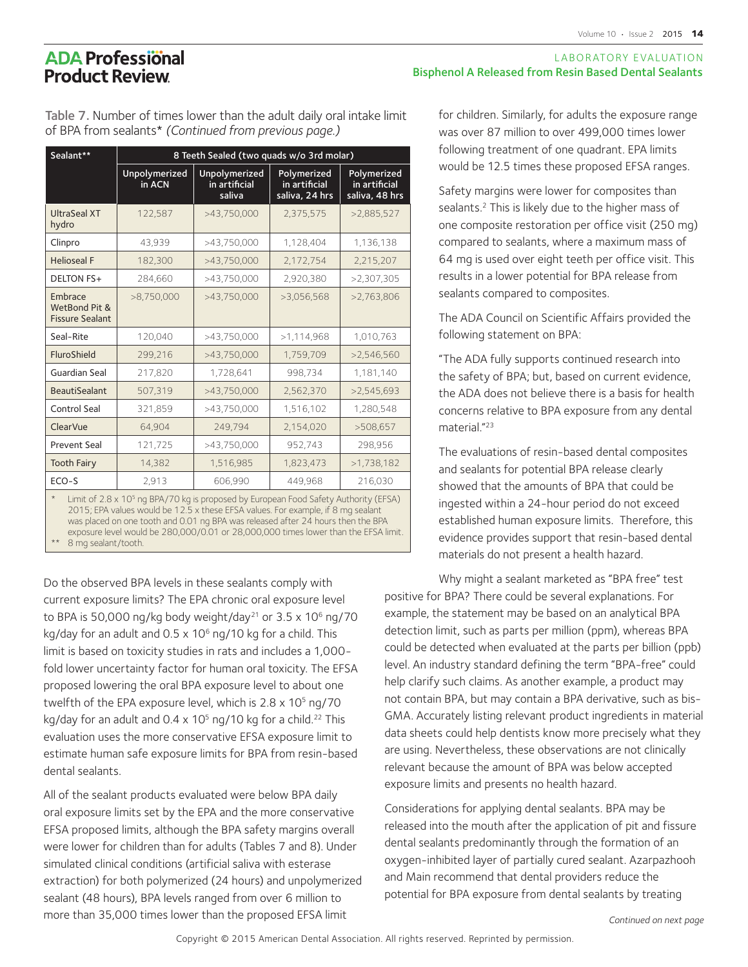Table 7. Number of times lower than the adult daily oral intake limit of BPA from sealants\* *(Continued from previous page.)*

| Sealant**                                                                                               | 8 Teeth Sealed (two quads w/o 3rd molar) |                                                 |                                                |                                                |  |  |  |
|---------------------------------------------------------------------------------------------------------|------------------------------------------|-------------------------------------------------|------------------------------------------------|------------------------------------------------|--|--|--|
|                                                                                                         | Unpolymerized<br>in ACN                  | <b>Unpolymerized</b><br>in artificial<br>saliva | Polymerized<br>in artificial<br>saliva, 24 hrs | Polymerized<br>in artificial<br>saliva, 48 hrs |  |  |  |
| <b>UltraSeal XT</b><br>hydro                                                                            | 122,587                                  | >43,750,000                                     | 2,375,575                                      | >2,885,527                                     |  |  |  |
| Clinpro                                                                                                 | 43.939                                   | >43,750,000                                     | 1,128,404                                      | 1,136,138                                      |  |  |  |
| <b>Helioseal F</b>                                                                                      | 182,300                                  | >43,750,000                                     | 2,172,754                                      | 2,215,207                                      |  |  |  |
| <b>DELTON FS+</b>                                                                                       | 284,660                                  | >43,750,000                                     | 2,920,380                                      | >2.307.305                                     |  |  |  |
| Embrace<br>WetBond Pit &<br><b>Fissure Sealant</b>                                                      | >8,750,000                               | >43,750,000                                     | >3,056,568                                     | >2,763,806                                     |  |  |  |
| Seal-Rite                                                                                               | 120.040                                  | >43,750,000                                     | >1,114,968                                     | 1,010,763                                      |  |  |  |
| FluroShield                                                                                             | 299,216                                  | >43,750,000                                     | 1,759,709                                      | >2,546,560                                     |  |  |  |
| Guardian Seal                                                                                           | 217,820                                  | 1,728,641                                       | 998,734                                        | 1,181,140                                      |  |  |  |
| <b>BeautiSealant</b>                                                                                    | 507,319                                  | >43,750,000                                     | 2,562,370                                      | >2,545,693                                     |  |  |  |
| Control Seal                                                                                            | 321,859                                  | >43,750,000                                     | 1,516,102                                      | 1,280,548                                      |  |  |  |
| ClearVue                                                                                                | 64,904                                   | 249,794                                         | 2,154,020                                      | >508,657                                       |  |  |  |
| <b>Prevent Seal</b>                                                                                     | 121,725                                  | >43,750,000                                     | 952,743                                        | 298,956                                        |  |  |  |
| <b>Tooth Fairy</b>                                                                                      | 14,382                                   | 1,516,985                                       | 1,823,473                                      | >1,738,182                                     |  |  |  |
| $ECO-S$                                                                                                 | 2,913                                    | 606,990                                         | 449,968                                        | 216,030                                        |  |  |  |
| Limit of $2.8 \times 10^5$ ng BPA/70 kg is proposed by European Food Safety Authority (EFSA)<br>$\star$ |                                          |                                                 |                                                |                                                |  |  |  |

\* Limit of  $2.8 \times 10^5$  ng BPA/70 kg is proposed by European Food Safety Authority (EFSA) 2015; EPA values would be 12.5 x these EFSA values. For example, if 8 mg sealant was placed on one tooth and 0.01 ng BPA was released after 24 hours then the BPA exposure level would be 280,000/0.01 or 28,000,000 times lower than the EFSA limit.

8 mg sealant/tooth.

Do the observed BPA levels in these sealants comply with current exposure limits? The EPA chronic oral exposure level to BPA is 50,000 ng/kg body weight/day<sup>21</sup> or 3.5 x 10<sup>6</sup> ng/70 kg/day for an adult and  $0.5 \times 10^6$  ng/10 kg for a child. This limit is based on toxicity studies in rats and includes a 1,000 fold lower uncertainty factor for human oral toxicity. The EFSA proposed lowering the oral BPA exposure level to about one twelfth of the EPA exposure level, which is  $2.8 \times 10^5$  ng/70 kg/day for an adult and  $0.4 \times 10^5$  ng/10 kg for a child.<sup>22</sup> This evaluation uses the more conservative EFSA exposure limit to estimate human safe exposure limits for BPA from resin-based dental sealants.

All of the sealant products evaluated were below BPA daily oral exposure limits set by the EPA and the more conservative EFSA proposed limits, although the BPA safety margins overall were lower for children than for adults (Tables 7 and 8). Under simulated clinical conditions (artificial saliva with esterase extraction) for both polymerized (24 hours) and unpolymerized sealant (48 hours), BPA levels ranged from over 6 million to more than 35,000 times lower than the proposed EFSA limit

#### LABORATORY EVALUATION Bisphenol A Released from Resin Based Dental Sealants

for children. Similarly, for adults the exposure range was over 87 million to over 499,000 times lower following treatment of one quadrant. EPA limits would be 12.5 times these proposed EFSA ranges.

Safety margins were lower for composites than sealants.<sup>2</sup> This is likely due to the higher mass of one composite restoration per office visit (250 mg) compared to sealants, where a maximum mass of 64 mg is used over eight teeth per office visit. This results in a lower potential for BPA release from sealants compared to composites.

The ADA Council on Scientific Affairs provided the following statement on BPA:

"The ADA fully supports continued research into the safety of BPA; but, based on current evidence, the ADA does not believe there is a basis for health concerns relative to BPA exposure from any dental material."23

The evaluations of resin-based dental composites and sealants for potential BPA release clearly showed that the amounts of BPA that could be ingested within a 24-hour period do not exceed established human exposure limits. Therefore, this evidence provides support that resin-based dental materials do not present a health hazard.

Why might a sealant marketed as "BPA free" test positive for BPA? There could be several explanations. For example, the statement may be based on an analytical BPA detection limit, such as parts per million (ppm), whereas BPA could be detected when evaluated at the parts per billion (ppb) level. An industry standard defining the term "BPA-free" could help clarify such claims. As another example, a product may not contain BPA, but may contain a BPA derivative, such as bis-GMA. Accurately listing relevant product ingredients in material data sheets could help dentists know more precisely what they are using. Nevertheless, these observations are not clinically relevant because the amount of BPA was below accepted exposure limits and presents no health hazard.

Considerations for applying dental sealants. BPA may be released into the mouth after the application of pit and fissure dental sealants predominantly through the formation of an oxygen-inhibited layer of partially cured sealant. Azarpazhooh and Main recommend that dental providers reduce the potential for BPA exposure from dental sealants by treating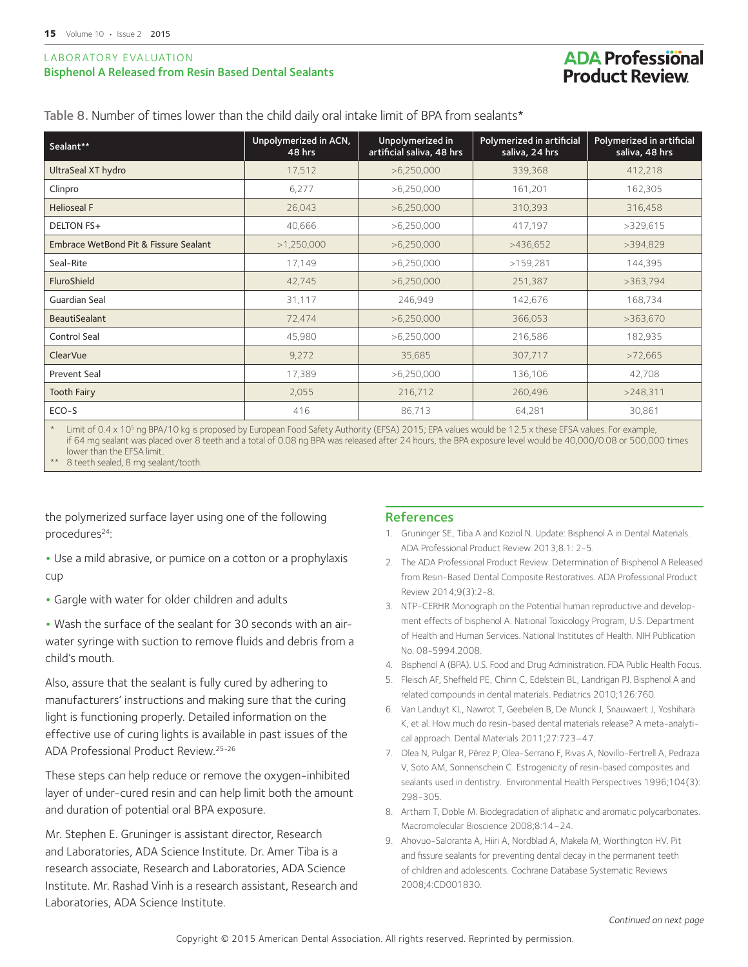#### LABORATORY EVALUATION Bisphenol A Released from Resin Based Dental Sealants

## **ADA Professional Product Review**

Table 8. Number of times lower than the child daily oral intake limit of BPA from sealants\*

| Sealant**                             | Unpolymerized in ACN,<br>48 hrs | Unpolymerized in<br>artificial saliva, 48 hrs | Polymerized in artificial<br>saliva, 24 hrs | Polymerized in artificial<br>saliva, 48 hrs |
|---------------------------------------|---------------------------------|-----------------------------------------------|---------------------------------------------|---------------------------------------------|
| UltraSeal XT hydro                    | 17,512                          | >6,250,000                                    | 339,368                                     | 412,218                                     |
| Clinpro                               | 6,277                           | >6,250,000                                    | 161,201                                     | 162,305                                     |
| <b>Helioseal F</b>                    | 26,043                          | >6,250,000                                    | 310,393                                     | 316,458                                     |
| <b>DELTON FS+</b>                     | 40,666                          | >6,250,000                                    | 417,197                                     | >329,615                                    |
| Embrace WetBond Pit & Fissure Sealant | >1,250,000                      | >6,250,000                                    | >436,652                                    | >394,829                                    |
| Seal-Rite                             | 17,149                          | >6,250,000                                    | >159,281                                    | 144,395                                     |
| FluroShield                           | 42,745                          | >6,250,000                                    | 251,387                                     | >363,794                                    |
| Guardian Seal                         | 31,117                          | 246,949                                       | 142,676                                     | 168,734                                     |
| <b>BeautiSealant</b>                  | 72,474                          | >6,250,000                                    | 366,053                                     | >363,670                                    |
| Control Seal                          | 45,980                          | >6,250,000                                    | 216,586                                     | 182,935                                     |
| ClearVue                              | 9,272                           | 35,685                                        | 307,717                                     | >72,665                                     |
| <b>Prevent Seal</b>                   | 17,389                          | >6,250,000                                    | 136,106                                     | 42,708                                      |
| <b>Tooth Fairy</b>                    | 2,055                           | 216,712                                       | 260,496                                     | >248,311                                    |
| ECO-S                                 | 416                             | 86,713                                        | 64,281                                      | 30,861                                      |

\* Limit of 0.4 x 105 ng BPA/10 kg is proposed by European Food Safety Authority (EFSA) 2015; EPA values would be 12.5 x these EFSA values. For example, if 64 mg sealant was placed over 8 teeth and a total of 0.08 ng BPA was released after 24 hours, the BPA exposure level would be 40,000/0.08 or 500,000 times lower than the EFSA limit.

8 teeth sealed, 8 mg sealant/tooth.

the polymerized surface layer using one of the following procedures<sup>24</sup>:

**•** Use a mild abrasive, or pumice on a cotton or a prophylaxis cup

**•** Gargle with water for older children and adults

**•** Wash the surface of the sealant for 30 seconds with an airwater syringe with suction to remove fluids and debris from a child's mouth.

Also, assure that the sealant is fully cured by adhering to manufacturers' instructions and making sure that the curing light is functioning properly. Detailed information on the effective use of curing lights is available in past issues of the ADA Professional Product Review.25-26

These steps can help reduce or remove the oxygen-inhibited layer of under-cured resin and can help limit both the amount and duration of potential oral BPA exposure.

Mr. Stephen E. Gruninger is assistant director, Research and Laboratories, ADA Science Institute. Dr. Amer Tiba is a research associate, Research and Laboratories, ADA Science Institute. Mr. Rashad Vinh is a research assistant, Research and Laboratories, ADA Science Institute.

#### References

- 1. Gruninger SE, Tiba A and Koziol N. Update: Bisphenol A in Dental Materials. ADA Professional Product Review 2013;8.1: 2-5.
- 2. The ADA Professional Product Review. Determination of Bisphenol A Released from Resin-Based Dental Composite Restoratives. ADA Professional Product Review 2014;9(3):2-8.
- 3. NTP-CERHR Monograph on the Potential human reproductive and development effects of bisphenol A. National Toxicology Program, U.S. Department of Health and Human Services. National Institutes of Health. NIH Publication No. 08-5994.2008.
- 4. Bisphenol A (BPA). U.S. Food and Drug Administration. FDA Public Health Focus.
- 5. Fleisch AF, Sheffield PE, Chinn C, Edelstein BL, Landrigan PJ. Bisphenol A and related compounds in dental materials. Pediatrics 2010;126:760.
- 6. Van Landuyt KL, Nawrot T, Geebelen B, De Munck J, Snauwaert J, Yoshihara K, et al. How much do resin-based dental materials release? A meta-analytical approach. Dental Materials 2011;27:723–47.
- 7. Olea N, Pulgar R, Pérez P, Olea-Serrano F, Rivas A, Novillo-Fertrell A, Pedraza V, Soto AM, Sonnenschein C. Estrogenicity of resin-based composites and sealants used in dentistry. Environmental Health Perspectives 1996;104(3): 298-305.
- 8. Artham T, Doble M. Biodegradation of aliphatic and aromatic polycarbonates. Macromolecular Bioscience 2008;8:14–24.
- 9. Ahovuo-Saloranta A, Hiiri A, Nordblad A, Makela M, Worthington HV. Pit and fissure sealants for preventing dental decay in the permanent teeth of children and adolescents. Cochrane Database Systematic Reviews 2008;4:CD001830.